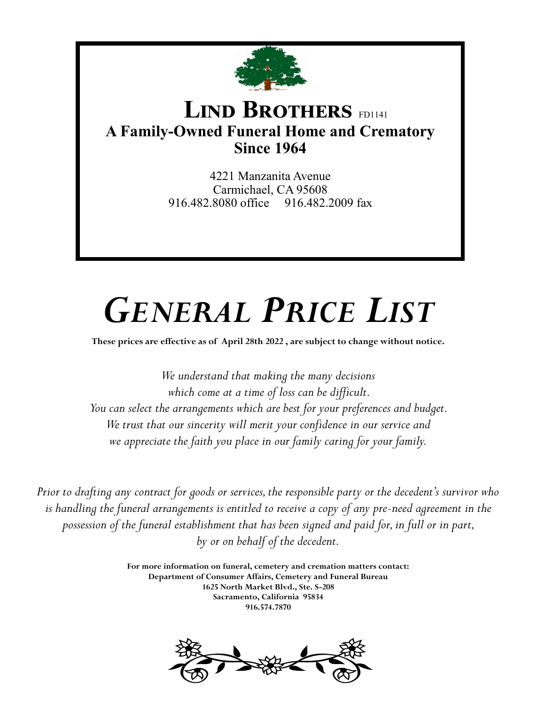

## **LIND BROTHERS** FD1141 **A Family-Owned Funeral Home and Crematory Since 1964**

4221 Manzanita Avenue Carmichael, CA 95608 916.482.8080 office 916.482.2009 fax

# *GENERAL PRICE LIST*

**These prices are effective as of April 28th 2022 , are subject to change without notice.**

*We understand that making the many decisions which come at a time of loss can be difficult. You can select the arrangements which are best for your preferences and budget. We trust that our sincerity will merit your confidence in our service and we appreciate the faith you place in our family caring for your family.*

*Prior to drafting any contract for goods or services, the responsible party or the decedent's survivor who is handling the funeral arrangements is entitled to receive a copy of any pre-need agreement in the possession of the funeral establishment that has been signed and paid for, in full or in part, by or on behalf of the decedent.*

> **For more information on funeral, cemetery and cremation matters contact: Department of Consumer Affairs, Cemetery and Funeral Bureau 1625 North Market Blvd., Ste. S-208 Sacramento, California 95834 916.574.7870**

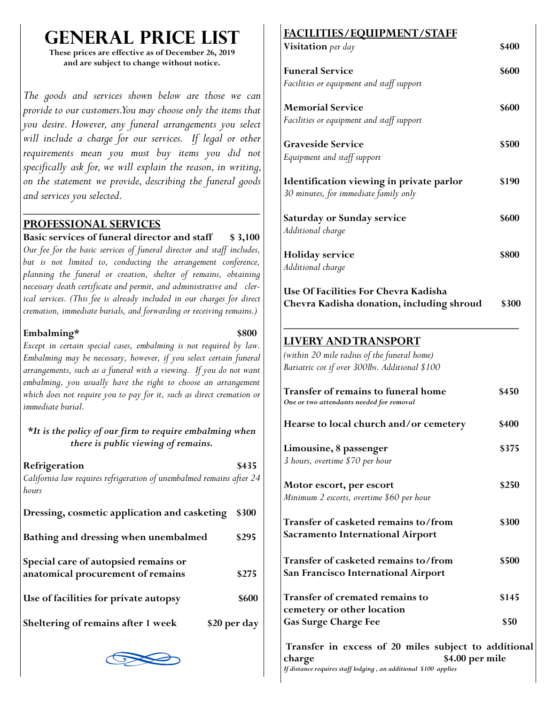## **GENERAL PRICE 1**

**These prices are effective as of December 26, 2019 and are subject to change without notice.**

*The goods and services shown below are those we can provide to our customers. You may choose only the items that you desire. However, any funeral arrangements you select*  will include a charge for our services. If legal or other *requirements mean you must buy items you did not specifically ask for, we will explain the reason, in writing, on the statement we provide, describing the funeral goods and services you selected.*

#### **PROFESSIONAL SERVICES**

#### **Basic services of funeral director and staff \$ 3,100**

*\_\_\_\_\_\_\_\_\_\_\_\_\_\_\_\_\_\_\_\_\_\_\_\_\_\_\_\_\_\_\_\_\_\_\_\_\_\_*

*Our fee for the basic services of funeral director and staff includes, but is not limited to, conducting the arrangement conference, planning the funeral or creation, shelter of remains, obtaining necessary death certificate and permit, and administrative and clerical services. (This fee is already included in our charges for direct cremation, immediate burials, and forwarding or receiving remains.)*

#### **Embalming\* \$800**

*Except in certain special cases, embalming is not required by law. Embalming may be necessary, however, if you select certain funeral arrangements, such as a funeral with a viewing. If you do not want embalming, you usually have the right to choose an arrangement which does not require you to pay for it, such as direct cremation or immediate burial.* 

#### *\*It is the policy of our firm to require embalming when there is public viewing of remains.*

| Refrigeration<br>California law requires refrigeration of unembalmed remains after 24<br>hours | \$435        |
|------------------------------------------------------------------------------------------------|--------------|
| Dressing, cosmetic application and casketing                                                   | \$300        |
| Bathing and dressing when unembalmed                                                           | \$295        |
| Special care of autopsied remains or<br>anatomical procurement of remains                      | \$275        |
| Use of facilities for private autopsy                                                          | \$600        |
| Sheltering of remains after 1 week                                                             | \$20 per day |



## **FACILITIES/EQUIPMENT/STAFF**

| Visitation per day                                                                            | \$400        |
|-----------------------------------------------------------------------------------------------|--------------|
| <b>Funeral Service</b>                                                                        | \$600        |
| Facilities or equipment and staff support                                                     |              |
| <b>Memorial Service</b>                                                                       | <b>\$600</b> |
| Facilities or equipment and staff support                                                     |              |
| <b>Graveside Service</b>                                                                      | \$500        |
| Equipment and staff support                                                                   |              |
| Identification viewing in private parlor                                                      | \$190        |
| 30 minutes, for immediate family only                                                         |              |
| Saturday or Sunday service                                                                    | <b>\$600</b> |
| Additional charge                                                                             |              |
| <b>Holiday</b> service                                                                        | \$800        |
| Additional charge                                                                             |              |
| Use Of Facilities For Chevra Kadisha                                                          |              |
| Chevra Kadisha donation, including shroud                                                     | \$300        |
|                                                                                               |              |
| <b>LIVERY AND TRANSPORT</b>                                                                   |              |
|                                                                                               |              |
| (within 20 mile radius of the funeral home)<br>Bariatric cot if over 300lbs. Additional \$100 |              |
|                                                                                               |              |
| Transfer of remains to funeral home<br>One or two attendants needed for removal               | \$450        |
| Hearse to local church and/or cemetery                                                        | <b>\$400</b> |
| Limousine, 8 passenger                                                                        | \$375        |
| 3 hours, overtime \$70 per hour                                                               |              |
| Motor escort, per escort                                                                      | \$250        |
| Minimum 2 escorts, overtime \$60 per hour                                                     |              |
| Transfer of casketed remains to/from                                                          | \$300        |
| <b>Sacramento International Airport</b>                                                       |              |
| Transfer of casketed remains to/from                                                          | \$500        |
| <b>San Francisco International Airport</b>                                                    |              |
| Transfer of cremated remains to                                                               | \$145        |
| cemetery or other location<br><b>Gas Surge Charge Fee</b>                                     | \$50         |

**Transfer in excess of 20 miles subject to additional charge \$4.00 per mile**  *If distance requires staff lodging , an additional \$100 applies*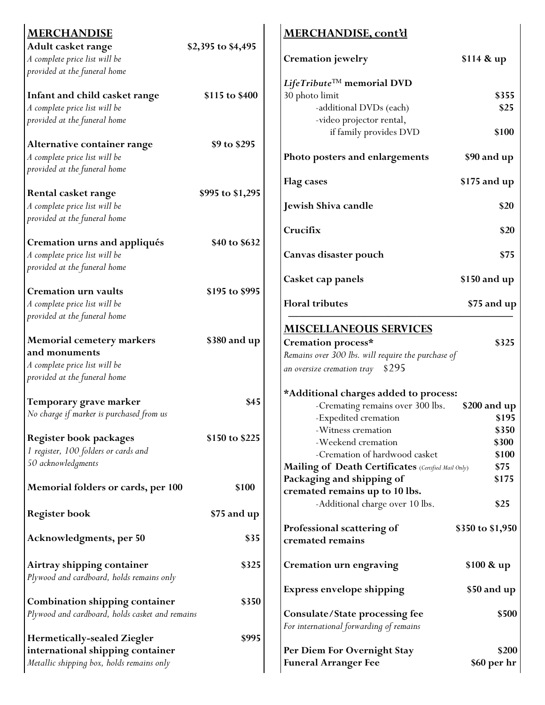| <b>MERCHANDISE</b>                                |                    | MERCHANDISE, cont'd                                                              |                       |
|---------------------------------------------------|--------------------|----------------------------------------------------------------------------------|-----------------------|
| Adult casket range                                | \$2,395 to \$4,495 |                                                                                  |                       |
| A complete price list will be                     |                    | Cremation jewelry                                                                | \$114 & up            |
| provided at the funeral home                      |                    |                                                                                  |                       |
|                                                   |                    | LifeTribute <sup>TM</sup> memorial DVD                                           |                       |
| Infant and child casket range                     | \$115 to \$400     | 30 photo limit                                                                   | \$355                 |
| A complete price list will be                     |                    | -additional DVDs (each)                                                          | \$25                  |
| provided at the funeral home                      |                    | -video projector rental,                                                         |                       |
| Alternative container range                       | \$9 to \$295       | if family provides DVD                                                           | \$100                 |
| A complete price list will be                     |                    | Photo posters and enlargements                                                   | \$90 and up           |
| provided at the funeral home                      |                    |                                                                                  |                       |
|                                                   |                    | <b>Flag</b> cases                                                                | \$175 and up          |
| Rental casket range                               | \$995 to \$1,295   |                                                                                  |                       |
| A complete price list will be                     |                    | Jewish Shiva candle                                                              | \$20                  |
| provided at the funeral home                      |                    |                                                                                  |                       |
|                                                   |                    | Crucifix                                                                         | \$20                  |
| Cremation urns and appliqués                      | \$40 to \$632      |                                                                                  |                       |
| A complete price list will be                     |                    | Canvas disaster pouch                                                            | \$75                  |
| provided at the funeral home                      |                    |                                                                                  |                       |
|                                                   |                    | Casket cap panels                                                                | \$150 and up          |
| <b>Cremation urn vaults</b>                       | \$195 to \$995     |                                                                                  |                       |
| A complete price list will be                     |                    | <b>Floral tributes</b>                                                           | \$75 and up           |
| provided at the funeral home                      |                    |                                                                                  |                       |
|                                                   |                    | <b>MISCELLANEOUS SERVICES</b>                                                    |                       |
| <b>Memorial cemetery markers</b><br>and monuments | \$380 and up       | Cremation process*                                                               | \$325                 |
| A complete price list will be                     |                    | Remains over 300 lbs. will require the purchase of                               |                       |
| provided at the funeral home                      |                    | \$295<br>an oversize cremation tray                                              |                       |
|                                                   |                    |                                                                                  |                       |
| Temporary grave marker                            | \$45               | *Additional charges added to process:                                            |                       |
| No charge if marker is purchased from us          |                    | -Cremating remains over 300 lbs.<br>-Expedited cremation                         | \$200 and up<br>\$195 |
|                                                   |                    | -Witness cremation                                                               | \$350                 |
| <b>Register book packages</b>                     | \$150 to \$225     | -Weekend cremation                                                               | \$300                 |
| 1 register, 100 folders or cards and              |                    | -Cremation of hardwood casket                                                    | \$100                 |
| 50 acknowledgments                                |                    | Mailing of Death Certificates (Certified Mail Only)                              | \$75                  |
|                                                   |                    | Packaging and shipping of                                                        | \$175                 |
| Memorial folders or cards, per 100                | \$100              | cremated remains up to 10 lbs.                                                   |                       |
|                                                   |                    | -Additional charge over 10 lbs.                                                  | \$25                  |
| <b>Register book</b>                              | \$75 and up        |                                                                                  |                       |
|                                                   |                    | Professional scattering of                                                       | \$350 to \$1,950      |
| Acknowledgments, per 50                           | \$35               | cremated remains                                                                 |                       |
|                                                   |                    |                                                                                  |                       |
| Airtray shipping container                        | \$325              | Cremation urn engraving                                                          | \$100 & up            |
| Plywood and cardboard, holds remains only         |                    |                                                                                  |                       |
|                                                   |                    | <b>Express envelope shipping</b>                                                 | \$50 and up           |
| <b>Combination shipping container</b>             | \$350              |                                                                                  |                       |
| Plywood and cardboard, holds casket and remains   |                    | <b>Consulate/State processing fee</b><br>For international forwarding of remains | \$500                 |
| <b>Hermetically-sealed Ziegler</b>                | \$995              |                                                                                  |                       |
| international shipping container                  |                    | Per Diem For Overnight Stay                                                      | \$200                 |
| Metallic shipping box, holds remains only         |                    | <b>Funeral Arranger Fee</b>                                                      | \$60 per hr           |
|                                                   |                    |                                                                                  |                       |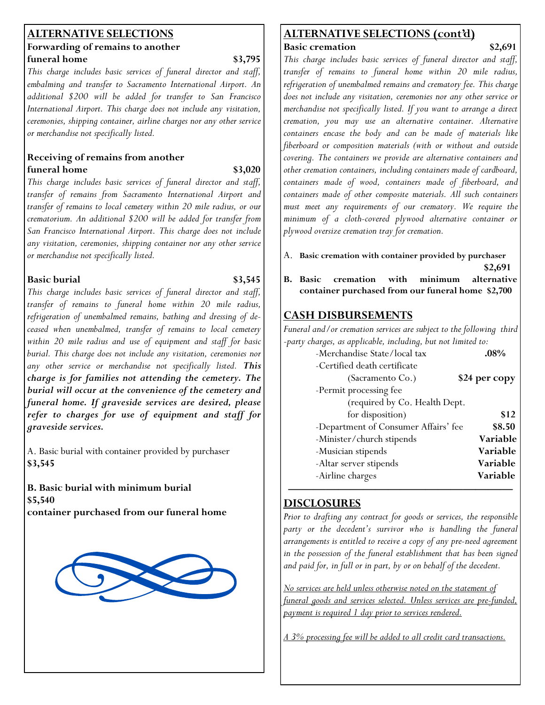#### **ALTERNATIVE SELECTIONS Forwarding of remains to another funeral home** \$3,795

*This charge includes basic services of funeral director and staff, embalming and transfer to Sacramento International Airport. An additional \$200 will be added for transfer to San Francisco International Airport. This charge does not include any visitation, ceremonies, shipping container, airline charges nor any other service or merchandise not specifically listed.*

#### **Receiving of remains from another funeral home** \$3,020

*This charge includes basic services of funeral director and staff, transfer of remains from Sacramento International Airport and transfer of remains to local cemetery within 20 mile radius, or our crematorium. An additional \$200 will be added for transfer from San Francisco International Airport. This charge does not include any visitation, ceremonies, shipping container nor any other service or merchandise not specifically listed.*

#### **Basic burial** \$3,545

*This charge includes basic services of funeral director and staff, transfer of remains to funeral home within 20 mile radius, refrigeration of unembalmed remains, bathing and dressing of deceased when unembalmed, transfer of remains to local cemetery within 20 mile radius and use of equipment and staff for basic burial. This charge does not include any visitation, ceremonies nor any other service or merchandise not specifically listed. This charge is for families not attending the cemetery. The burial will occur at the convenience of the cemetery and funeral home. If graveside services are desired, please refer to charges for use of equipment and staff for graveside services.*

A. Basic burial with container provided by purchaser **\$3,545**

**B. Basic burial with minimum burial \$5,540 container purchased from our funeral home** 



#### **ALTERNATIVE SELECTIONS (cont'd) Basic cremation** \$2,691

*This charge includes basic services of funeral director and staff, transfer of remains to funeral home within 20 mile radius, refrigeration of unembalmed remains and crematory fee. This charge does not include any visitation, ceremonies nor any other service or merchandise not specifically listed. If you want to arrange a direct cremation, you may use an alternative container. Alternative containers encase the body and can be made of materials like fiberboard or composition materials (with or without and outside covering. The containers we provide are alternative containers and other cremation containers, including containers made of cardboard, containers made of wood, containers made of fiberboard, and containers made of other composite materials. All such containers must meet any requirements of our crematory. We require the minimum of a cloth-covered plywood alternative container or plywood oversize cremation tray for cremation.*

- A. **Basic cremation with container provided by purchaser \$2,691**
- **B. Basic cremation with minimum alternative container purchased from our funeral home \$2,700**

#### **CASH DISBURSEMENTS**

*Funeral and/or cremation services are subject to the following third -party charges, as applicable, including, but not limited to:*

| -Merchandise State/local tax         | $.08\%$              |
|--------------------------------------|----------------------|
| -Certified death certificate         |                      |
| (Sacramento Co.)                     | <b>\$24 per copy</b> |
| -Permit processing fee               |                      |
| (required by Co. Health Dept.        |                      |
| for disposition)                     | \$12                 |
| -Department of Consumer Affairs' fee | \$8.50               |
| -Minister/church stipends            | Variable             |
| -Musician stipends                   | Variable             |
| -Altar server stipends               | Variable             |
| -Airline charges                     | <b>Variable</b>      |
|                                      |                      |

#### **—————————————————— DISCLOSURES**

*Prior to drafting any contract for goods or services, the responsible party or the decedent's survivor who is handling the funeral arrangements is entitled to receive a copy of any pre-need agreement in the possession of the funeral establishment that has been signed and paid for, in full or in part, by or on behalf of the decedent.*

*No services are held unless otherwise noted on the statement of funeral goods and services selected. Unless services are pre-funded, payment is required 1 day prior to services rendered.*

*A 3% processing fee will be added to all credit card transactions.*